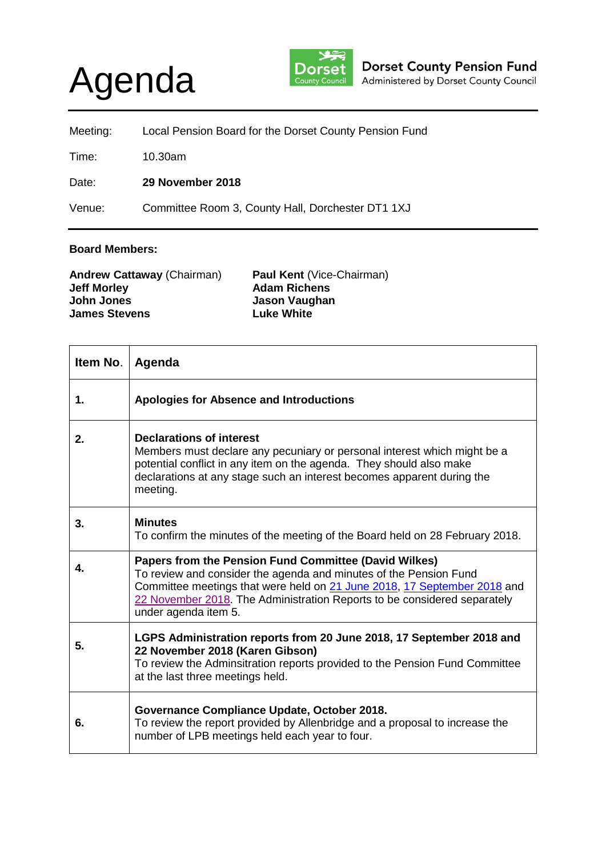## Agenda



| Meeting: | Local Pension Board for the Dorset County Pension Fund |
|----------|--------------------------------------------------------|
| Time:    | 10.30am                                                |
| Date:    | 29 November 2018                                       |
| Venue:   | Committee Room 3, County Hall, Dorchester DT1 1XJ      |

## **Board Members:**

| <b>Andrew Cattaway (Chairman)</b> | <b>Paul Kent (Vice-Chairman)</b> |
|-----------------------------------|----------------------------------|
| <b>Jeff Morley</b>                | <b>Adam Richens</b>              |
| John Jones                        | Jason Vaughan                    |
| <b>James Stevens</b>              | <b>Luke White</b>                |
|                                   |                                  |

| Item No. | Agenda                                                                                                                                                                                                                                                                                                     |
|----------|------------------------------------------------------------------------------------------------------------------------------------------------------------------------------------------------------------------------------------------------------------------------------------------------------------|
| 1.       | <b>Apologies for Absence and Introductions</b>                                                                                                                                                                                                                                                             |
| 2.       | <b>Declarations of interest</b><br>Members must declare any pecuniary or personal interest which might be a<br>potential conflict in any item on the agenda. They should also make<br>declarations at any stage such an interest becomes apparent during the<br>meeting.                                   |
| 3.       | <b>Minutes</b><br>To confirm the minutes of the meeting of the Board held on 28 February 2018.                                                                                                                                                                                                             |
| 4.       | Papers from the Pension Fund Committee (David Wilkes)<br>To review and consider the agenda and minutes of the Pension Fund<br>Committee meetings that were held on 21 June 2018, 17 September 2018 and<br>22 November 2018. The Administration Reports to be considered separately<br>under agenda item 5. |
| 5.       | LGPS Administration reports from 20 June 2018, 17 September 2018 and<br>22 November 2018 (Karen Gibson)<br>To review the Adminsitration reports provided to the Pension Fund Committee<br>at the last three meetings held.                                                                                 |
| 6.       | Governance Compliance Update, October 2018.<br>To review the report provided by Allenbridge and a proposal to increase the<br>number of LPB meetings held each year to four.                                                                                                                               |